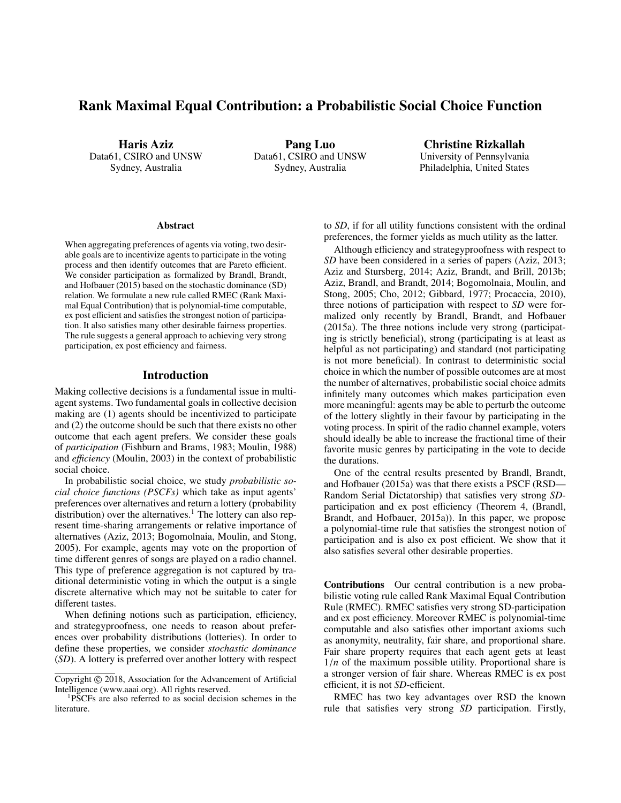# Rank Maximal Equal Contribution: a Probabilistic Social Choice Function

Haris Aziz Data61, CSIRO and UNSW Sydney, Australia

Pang Luo Data61, CSIRO and UNSW Sydney, Australia

Christine Rizkallah University of Pennsylvania Philadelphia, United States

#### **Abstract**

When aggregating preferences of agents via voting, two desirable goals are to incentivize agents to participate in the voting process and then identify outcomes that are Pareto efficient. We consider participation as formalized by Brandl, Brandt, and Hofbauer (2015) based on the stochastic dominance (SD) relation. We formulate a new rule called RMEC (Rank Maximal Equal Contribution) that is polynomial-time computable, ex post efficient and satisfies the strongest notion of participation. It also satisfies many other desirable fairness properties. The rule suggests a general approach to achieving very strong participation, ex post efficiency and fairness.

### Introduction

Making collective decisions is a fundamental issue in multiagent systems. Two fundamental goals in collective decision making are (1) agents should be incentivized to participate and (2) the outcome should be such that there exists no other outcome that each agent prefers. We consider these goals of *participation* (Fishburn and Brams, 1983; Moulin, 1988) and *e*ffi*ciency* (Moulin, 2003) in the context of probabilistic social choice.

In probabilistic social choice, we study *probabilistic social choice functions (PSCFs)* which take as input agents' preferences over alternatives and return a lottery (probability distribution) over the alternatives.<sup>1</sup> The lottery can also represent time-sharing arrangements or relative importance of alternatives (Aziz, 2013; Bogomolnaia, Moulin, and Stong, 2005). For example, agents may vote on the proportion of time different genres of songs are played on a radio channel. This type of preference aggregation is not captured by traditional deterministic voting in which the output is a single discrete alternative which may not be suitable to cater for different tastes.

When defining notions such as participation, efficiency, and strategyproofness, one needs to reason about preferences over probability distributions (lotteries). In order to define these properties, we consider *stochastic dominance* (*SD*). A lottery is preferred over another lottery with respect to *SD*, if for all utility functions consistent with the ordinal preferences, the former yields as much utility as the latter.

Although efficiency and strategyproofness with respect to *SD* have been considered in a series of papers (Aziz, 2013; Aziz and Stursberg, 2014; Aziz, Brandt, and Brill, 2013b; Aziz, Brandl, and Brandt, 2014; Bogomolnaia, Moulin, and Stong, 2005; Cho, 2012; Gibbard, 1977; Procaccia, 2010), three notions of participation with respect to *SD* were formalized only recently by Brandl, Brandt, and Hofbauer (2015a). The three notions include very strong (participating is strictly beneficial), strong (participating is at least as helpful as not participating) and standard (not participating is not more beneficial). In contrast to deterministic social choice in which the number of possible outcomes are at most the number of alternatives, probabilistic social choice admits infinitely many outcomes which makes participation even more meaningful: agents may be able to perturb the outcome of the lottery slightly in their favour by participating in the voting process. In spirit of the radio channel example, voters should ideally be able to increase the fractional time of their favorite music genres by participating in the vote to decide the durations.

One of the central results presented by Brandl, Brandt, and Hofbauer (2015a) was that there exists a PSCF (RSD— Random Serial Dictatorship) that satisfies very strong *SD*participation and ex post efficiency (Theorem 4, (Brandl, Brandt, and Hofbauer, 2015a)). In this paper, we propose a polynomial-time rule that satisfies the strongest notion of participation and is also ex post efficient. We show that it also satisfies several other desirable properties.

Contributions Our central contribution is a new probabilistic voting rule called Rank Maximal Equal Contribution Rule (RMEC). RMEC satisfies very strong SD-participation and ex post efficiency. Moreover RMEC is polynomial-time computable and also satisfies other important axioms such as anonymity, neutrality, fair share, and proportional share. Fair share property requires that each agent gets at least  $1/n$  of the maximum possible utility. Proportional share is a stronger version of fair share. Whereas RMEC is ex post efficient, it is not *SD*-efficient.

RMEC has two key advantages over RSD the known rule that satisfies very strong *SD* participation. Firstly,

Copyright © 2018, Association for the Advancement of Artificial Intelligence (www.aaai.org). All rights reserved.

<sup>1</sup>PSCFs are also referred to as social decision schemes in the literature.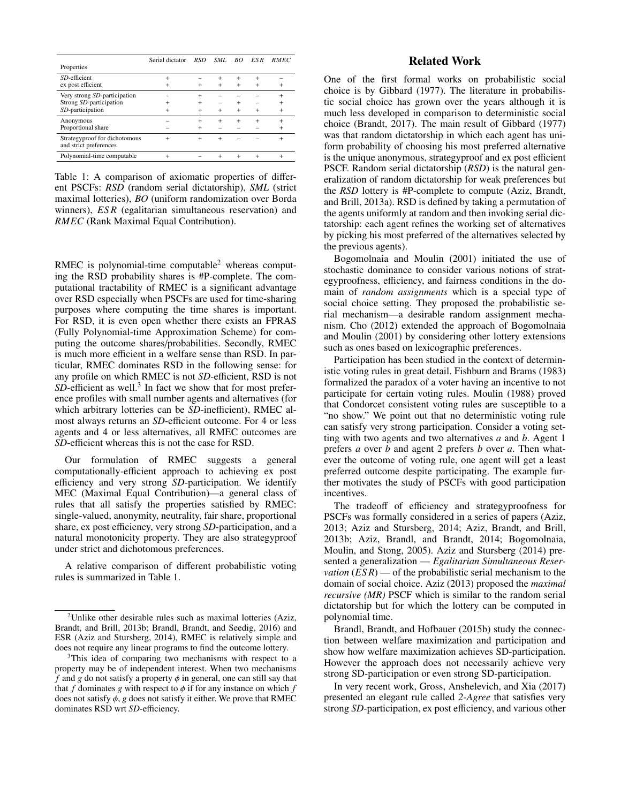|                                                         | Serial dictator | <b>RSD</b> | SML.   | BO  | ES R      | <b>RMEC</b> |
|---------------------------------------------------------|-----------------|------------|--------|-----|-----------|-------------|
| Properties                                              |                 |            |        |     |           |             |
| SD-efficient                                            | $+$             |            | $^{+}$ | $+$ | $^{+}$    |             |
| ex post efficient                                       | $\ddot{}$       |            |        | $+$ | $^{+}$    | $^{+}$      |
| Very strong SD-participation                            |                 | $^{+}$     |        |     |           | $\ddot{}$   |
| Strong SD-participation                                 | $\ddot{}$       | $+$        |        |     |           | $+$         |
| SD-participation                                        | $\ddot{}$       |            | $+$    | $+$ |           | $\ddot{}$   |
| Anonymous                                               |                 | $+$        | $+$    | $+$ | $\ddot{}$ | $+$         |
| Proportional share                                      |                 |            |        |     |           | $^{+}$      |
| Strategyproof for dichotomous<br>and strict preferences | $^{+}$          | $\div$     | $\div$ |     |           | $+$         |
| Polynomial-time computable                              | $\ddot{}$       |            |        |     |           | $^{+}$      |

Table 1: A comparison of axiomatic properties of different PSCFs: *RSD* (random serial dictatorship), *SML* (strict maximal lotteries), *BO* (uniform randomization over Borda winners), *ESR* (egalitarian simultaneous reservation) and *RMEC* (Rank Maximal Equal Contribution).

RMEC is polynomial-time computable<sup>2</sup> whereas computing the RSD probability shares is #P-complete. The computational tractability of RMEC is a significant advantage over RSD especially when PSCFs are used for time-sharing purposes where computing the time shares is important. For RSD, it is even open whether there exists an FPRAS (Fully Polynomial-time Approximation Scheme) for computing the outcome shares/probabilities. Secondly, RMEC is much more efficient in a welfare sense than RSD. In particular, RMEC dominates RSD in the following sense: for any profile on which RMEC is not *SD*-efficient, RSD is not SD-efficient as well.<sup>3</sup> In fact we show that for most preference profiles with small number agents and alternatives (for which arbitrary lotteries can be *SD*-inefficient), RMEC almost always returns an *SD*-efficient outcome. For 4 or less agents and 4 or less alternatives, all RMEC outcomes are *SD*-efficient whereas this is not the case for RSD.

Our formulation of RMEC suggests a general computationally-efficient approach to achieving ex post efficiency and very strong *SD*-participation. We identify MEC (Maximal Equal Contribution)—a general class of rules that all satisfy the properties satisfied by RMEC: single-valued, anonymity, neutrality, fair share, proportional share, ex post efficiency, very strong *SD*-participation, and a natural monotonicity property. They are also strategyproof under strict and dichotomous preferences.

A relative comparison of different probabilistic voting rules is summarized in Table 1.

## Related Work

One of the first formal works on probabilistic social choice is by Gibbard (1977). The literature in probabilistic social choice has grown over the years although it is much less developed in comparison to deterministic social choice (Brandt, 2017). The main result of Gibbard (1977) was that random dictatorship in which each agent has uniform probability of choosing his most preferred alternative is the unique anonymous, strategyproof and ex post efficient PSCF. Random serial dictatorship (*RSD*) is the natural generalization of random dictatorship for weak preferences but the *RSD* lottery is #P-complete to compute (Aziz, Brandt, and Brill, 2013a). RSD is defined by taking a permutation of the agents uniformly at random and then invoking serial dictatorship: each agent refines the working set of alternatives by picking his most preferred of the alternatives selected by the previous agents).

Bogomolnaia and Moulin (2001) initiated the use of stochastic dominance to consider various notions of strategyproofness, efficiency, and fairness conditions in the domain of *random assignments* which is a special type of social choice setting. They proposed the probabilistic serial mechanism—a desirable random assignment mechanism. Cho (2012) extended the approach of Bogomolnaia and Moulin (2001) by considering other lottery extensions such as ones based on lexicographic preferences.

Participation has been studied in the context of deterministic voting rules in great detail. Fishburn and Brams (1983) formalized the paradox of a voter having an incentive to not participate for certain voting rules. Moulin (1988) proved that Condorcet consistent voting rules are susceptible to a "no show." We point out that no deterministic voting rule can satisfy very strong participation. Consider a voting setting with two agents and two alternatives *a* and *b*. Agent 1 prefers *a* over *b* and agent 2 prefers *b* over *a*. Then whatever the outcome of voting rule, one agent will get a least preferred outcome despite participating. The example further motivates the study of PSCFs with good participation incentives.

The tradeoff of efficiency and strategyproofness for PSCFs was formally considered in a series of papers (Aziz, 2013; Aziz and Stursberg, 2014; Aziz, Brandt, and Brill, 2013b; Aziz, Brandl, and Brandt, 2014; Bogomolnaia, Moulin, and Stong, 2005). Aziz and Stursberg (2014) presented a generalization — *Egalitarian Simultaneous Reservation*  $(ES R)$  — of the probabilistic serial mechanism to the domain of social choice. Aziz (2013) proposed the *maximal recursive (MR)* PSCF which is similar to the random serial dictatorship but for which the lottery can be computed in polynomial time.

Brandl, Brandt, and Hofbauer (2015b) study the connection between welfare maximization and participation and show how welfare maximization achieves SD-participation. However the approach does not necessarily achieve very strong SD-participation or even strong SD-participation.

In very recent work, Gross, Anshelevich, and Xia (2017) presented an elegant rule called *2-Agree* that satisfies very strong *SD*-participation, ex post efficiency, and various other

<sup>&</sup>lt;sup>2</sup>Unlike other desirable rules such as maximal lotteries (Aziz, Brandt, and Brill, 2013b; Brandl, Brandt, and Seedig, 2016) and ESR (Aziz and Stursberg, 2014), RMEC is relatively simple and does not require any linear programs to find the outcome lottery.

<sup>&</sup>lt;sup>3</sup>This idea of comparing two mechanisms with respect to a property may be of independent interest. When two mechanisms *f* and *g* do not satisfy a property  $\phi$  in general, one can still say that that *f* dominates *g* with respect to  $\phi$  if for any instance on which *f* does not satisfy  $\phi$ , *g* does not satisfy it either. We prove that RMEC dominates RSD wrt *SD*-efficiency.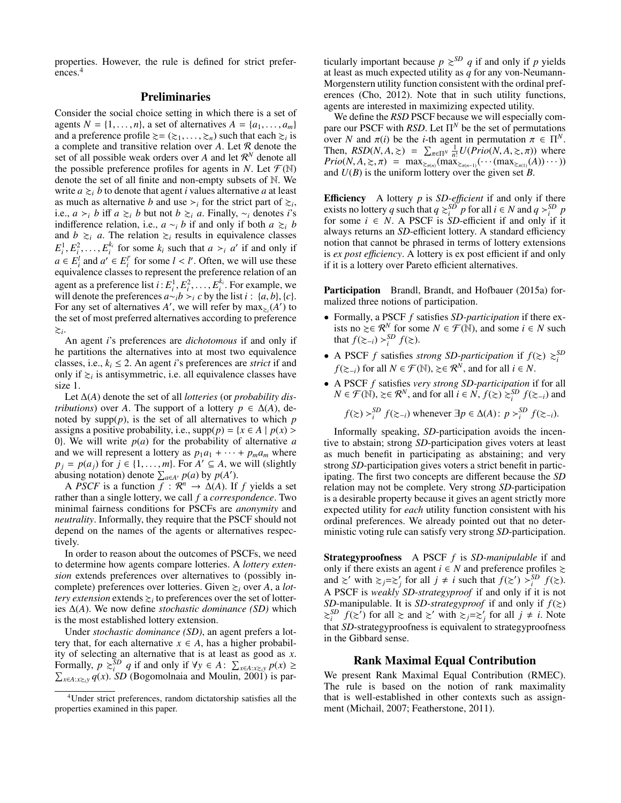properties. However, the rule is defined for strict preferences.<sup>4</sup>

## Preliminaries

Consider the social choice setting in which there is a set of agents  $N = \{1, \ldots, n\}$ , a set of alternatives  $A = \{a_1, \ldots, a_m\}$ and a preference profile  $\succeq = (\succeq_1, \ldots, \succeq_n)$  such that each  $\succeq_i$  is<br>a complete and transitive relation over A. Let R denote the a complete and transitive relation over *A*. Let R denote the set of all possible weak orders over  $A$  and let  $\mathcal{R}^N$  denote all the possible preference profiles for agents in *N*. Let  $\mathcal{F}(\mathbb{N})$ denote the set of all finite and non-empty subsets of N. We write  $a \geq i$  *b* to denote that agent *i* values alternative *a* at least as much as alternative *b* and use  $\geq_i$  for the strict part of  $\geq_i$ , i.e., *a*  $>$ *i b* iff *a*  $≥$ *i b* but not *b*  $≥$ *i a*. Finally,  $∼$ *i* denotes *i*'s indifference relation, i.e.,  $a \sim_i b$  if and only if both  $a \geq_i b$ and  $b \geq a$ . The relation  $\geq a$  results in equivalence classes  $E_i^1, E_i^2, \ldots, E_i^{k_i}$  for some  $k_i$  such that  $a >_i a'$  if and only if  $a \in F^l$  and  $a' \in F^l$  for some  $l \le l'$ . Often we will use these  $a \in E_i^l$  and  $a' \in E_i^{l'}$  $i \neq i$  for some  $l \lt l'$ . Often, we will use these<br>
is to represent the preference relation of an equivalence classes to represent the preference relation of an agent as a preference list  $i: E_i^1, E_i^2, \ldots, E_i^{k_i}$ . For example, we will denote the preferences  $a \sim b \succ c$  by the list  $i: \{a, b\}$ will denote the preferences  $a \sim ib \succ i c$  by the list  $i : \{a, b\}, \{c\}.$ For any set of alternatives *A'*, we will refer by  $\max_{\xi_i}(A')$  to the set of most preferred alternatives according to preference  $\gtrsim_i$ .

An agent *i*'s preferences are *dichotomous* if and only if he partitions the alternatives into at most two equivalence classes, i.e.,  $k_i \leq 2$ . An agent *i*'s preferences are *strict* if and only if  $\gtrsim$ <sub>*i*</sub> is antisymmetric, i.e. all equivalence classes have size 1.

Let ∆(*A*) denote the set of all *lotteries* (or *probability distributions*) over *A*. The support of a lottery  $p \in \Delta(A)$ , denoted by supp(*p*), is the set of all alternatives to which *p* assigns a positive probability, i.e.,  $supp(p) = \{x \in A \mid p(x) > a\}$ 0}. We will write  $p(a)$  for the probability of alternative  $a$ and we will represent a lottery as  $p_1a_1 + \cdots + p_ma_m$  where  $p_j = p(a_j)$  for  $j \in \{1, ..., m\}$ . For  $A' \subseteq A$ , we will (slightly abusing notation) denote  $\sum_{i \in A} p(a_i)$  by  $p(A')$ abusing notation) denote  $\sum_{a \in A'} p(a)$  by  $p(A')$ .

A *PSCF* is a function  $f : \mathbb{R}^n \to \Delta(A)$ . If *f* yields a set rather than a single lottery, we call *f* a *correspondence*. Two minimal fairness conditions for PSCFs are *anonymity* and *neutrality*. Informally, they require that the PSCF should not depend on the names of the agents or alternatives respectively.

In order to reason about the outcomes of PSCFs, we need to determine how agents compare lotteries. A *lottery extension* extends preferences over alternatives to (possibly incomplete) preferences over lotteries. Given  $\geq_i$  over A, a *lottery extension* extends  $\geq_i$  to preferences over the set of lotteries ∆(*A*). We now define *stochastic dominance (SD)* which is the most established lottery extension.

Under *stochastic dominance (SD)*, an agent prefers a lottery that, for each alternative  $x \in A$ , has a higher probability of selecting an alternative that is at least as good as *x*. Formally,  $p \geq 0$  *i* if and only if  $\forall y \in A: \sum_{x \in A: x \geq 0} p(x) \geq 0$  $\sum_{x \in A:x≥i} q(x)$ . *SD* (Bogomolnaia and Moulin, 2001) is par-

ticularly important because  $p \geq^{SD} q$  if and only if p yields at least as much expected utility as *q* for any von-Neumann-Morgenstern utility function consistent with the ordinal preferences (Cho, 2012). Note that in such utility functions, agents are interested in maximizing expected utility.

We define the *RSD* PSCF because we will especially compare our PSCF with *RSD*. Let  $\Pi^N$  be the set of permutations over *N* and  $\pi(i)$  be the *i*-th agent in permutation  $\pi \in \Pi^N$ .<br>Then *RSD(N A >*) =  $\sum_{n=1}^{\infty} \frac{1}{n} I(Prio(N A > \pi))$  where Then,  $RSD(N, A, \ge) = \sum_{\pi \in \Pi^N} \frac{1}{n!} U(Prior(N, A, \ge, \pi))$  where  $Prio(N, A > \pi) = \max_{\pi \in \Pi^N} \frac{1}{n!} U(Pro(N, A, \ge, \pi))$ Finen,  $RSD(N, A, \geq) = \sum_{\pi \in \Pi^N} \frac{D(PIU(N, A, \geq, \pi))}{\pi!}$  where<br>  $Prio(N, A, \geq, \pi) = \max_{\geq \pi(n)} (\max_{\geq \pi(n-1)} (\cdots (\max_{\geq \pi(1)} (A)) \cdots))$ <br>
and  $U(R)$  is the uniform lottery over the given set R and  $U(B)$  is the uniform lottery over the given set *B*.

Efficiency A lottery *p* is *SD-efficient* if and only if there exists no lottery *q* such that  $q \geq i$  *p* for all  $i \in N$  and  $q > i$  *p* for some  $i \in N$ . A PSCF is *SD*-efficient if and only if it always returns an *SD*-efficient lottery. A standard efficiency notion that cannot be phrased in terms of lottery extensions is *ex post efficiency*. A lottery is ex post efficient if and only if it is a lottery over Pareto efficient alternatives.

Participation Brandl, Brandt, and Hofbauer (2015a) formalized three notions of participation.

- Formally, a PSCF *f* satisfies *SD-participation* if there exists no  $\geq \in \mathcal{R}^N$  for some *N* ∈  $\mathcal{F}(\mathbb{N})$ , and some *i* ∈ *N* such that  $f(\geq -i) > \int_{i}^{SD} f(\geq).$
- A PSCF *f* satisfies *strong SD-participation* if  $f(z) \geq i$ *f*( $\xi_{-i}$ ) for all *N* ∈ *f*<sup>( $\mathbb{N}$ ),  $\xi \in \mathcal{R}^N$ , and for all *i* ∈ *N*.</sup>
- A PSCF *f* satisfies *very strong SD-participation* if for all  $N \in \mathcal{F}(\mathbb{N}), \geq \in \mathcal{R}^N$ , and for all  $i \in \mathbb{N}, f(\geq) \geq \{S^D : f(\geq -i) \text{ and } f(\geq) \leq \frac{1}{2} \}$

 $f(\ge) >_i^{SD} f(\ge)_{-i}$  whenever  $\exists p \in \Delta(A) : p >_i^{SD} f(\ge)_{-i}.$ 

Informally speaking, *SD*-participation avoids the incentive to abstain; strong *SD*-participation gives voters at least as much benefit in participating as abstaining; and very strong *SD*-participation gives voters a strict benefit in participating. The first two concepts are different because the *SD* relation may not be complete. Very strong *SD*-participation is a desirable property because it gives an agent strictly more expected utility for *each* utility function consistent with his ordinal preferences. We already pointed out that no deterministic voting rule can satisfy very strong *SD*-participation.

Strategyproofness A PSCF *f* is *SD*-*manipulable* if and only if there exists an agent *i* ∈ *N* and preference profiles  $\succeq$ and  $\gtrsim'$  with  $\gtrsim_j = \gtrsim'_j$  for all  $j \neq i$  such that  $f(\gtrsim') >_i^{SD} f(\gtrsim)$ . A PSCF is *weakly SD*-*strategyproof* if and only if it is not *SD*-manipulable. It is *SD-strategyproof* if and only if  $f(z)$  $\sum_{i}^{SD} f(z^{\prime})$  for all  $\geq$  and  $\geq'$  with  $\sum_{j}=\sum_{j}^{'}$  for all  $j \neq i$ . Note that *SD*-strategyproofness is equivalent to strategyproofness in the Gibbard sense.

### Rank Maximal Equal Contribution

We present Rank Maximal Equal Contribution (RMEC). The rule is based on the notion of rank maximality that is well-established in other contexts such as assignment (Michail, 2007; Featherstone, 2011).

<sup>4</sup>Under strict preferences, random dictatorship satisfies all the properties examined in this paper.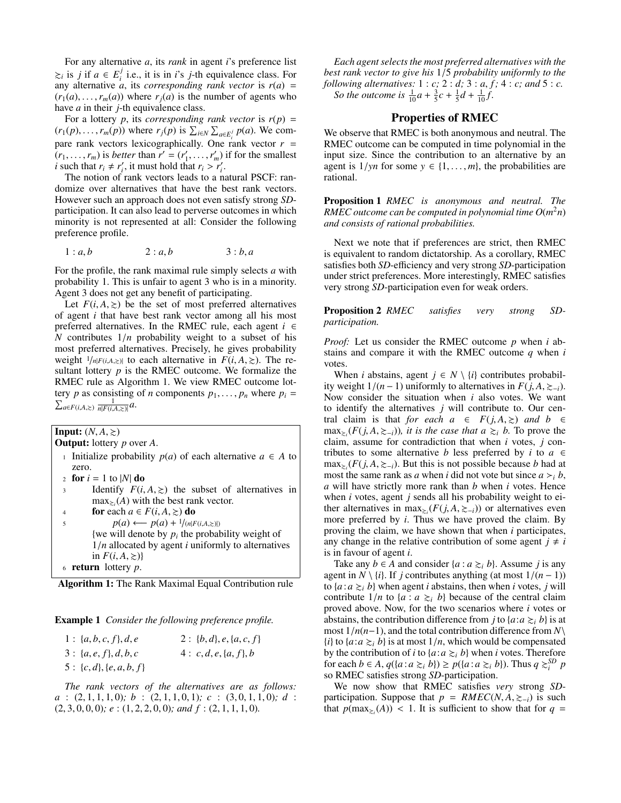For any alternative *a*, its *rank* in agent *i*'s preference list  $≥<sub>i</sub>$  is *j* if *a* ∈  $E<sub>i</sub><sup>j</sup>$  $i$  i.e., it is in *i*'s *j*-th equivalence class. For any alternative  $a$ , its *corresponding rank vector* is  $r(a)$  =  $(r_1(a), \ldots, r_m(a))$  where  $r_i(a)$  is the number of agents who have *a* in their *j*-th equivalence class.

For a lottery *p*, its *corresponding rank vector* is  $r(p) =$  $(r_1(p), \ldots, r_m(p))$  where  $r_j(p)$  is  $\sum_{i \in N} \sum_{a \in E_j^j} p(a)$ . We com-<br>page goals used on a busing agreeablised by One goals used on  $n =$ pare rank vectors lexicographically. One rank vector  $r =$  $(r_1, \ldots, r_m)$  is *better* than  $r' = (r'_1, \ldots, r'_m)$  if for the smallest *i* such that  $r \neq r'$  it must hold that  $r \geq r'$ *i* such that  $r_i \neq r'_i$ , it must hold that  $r_i > r'_i$ .<br>The notion of rank vectors leads to a n

The notion of rank vectors leads to a natural PSCF: randomize over alternatives that have the best rank vectors. However such an approach does not even satisfy strong *SD*participation. It can also lead to perverse outcomes in which minority is not represented at all: Consider the following preference profile.

$$
1: a, b \qquad \qquad 2: a, b \qquad \qquad 3: b, a
$$

For the profile, the rank maximal rule simply selects *a* with probability 1. This is unfair to agent 3 who is in a minority. Agent 3 does not get any benefit of participating.

Let  $F(i, A, \geq)$  be the set of most preferred alternatives of agent *i* that have best rank vector among all his most preferred alternatives. In the RMEC rule, each agent  $i \in$ *<sup>N</sup>* contributes 1/*<sup>n</sup>* probability weight to a subset of his most preferred alternatives. Precisely, he gives probability weight  $1/n|F(i, A, \geq)|$  to each alternative in  $F(i, A, \geq)|$ . The resultant lottery *p* is the RMEC outcome. We formalize the RMEC rule as Algorithm 1. We view RMEC outcome lottery *p* as consisting of *n* components  $p_1, \ldots, p_n$  where  $p_i =$  $a \in F(i, A, \ge)$   $\frac{1}{n|F(i, A, \ge)|} a$ .

**Input:**  $(N, A, \geq)$ 

Output: lottery *p* over *A*.

- <sup>1</sup> Initialize probability *p*(*a*) of each alternative *a* ∈ *A* to zero.
- 2 **for**  $i = 1$  to |*N*| **do**
- 3 Identify  $F(i, A, \geq)$  the subset of alternatives in  $\max_{\geq i}(A)$  with the best rank vector.
- 4 **for** each  $a \in F(i, A, \geq)$  **do**<br>  $p(a) \leftarrow p(a) + \frac{1}{|a|F}$  $p(a) \leftarrow p(a) + \frac{1}{n|F(i, A, \geq)|}$ {we will denote by  $p_i$  the probability weight of <sup>1</sup>/*<sup>n</sup>* allocated by agent *<sup>i</sup>* uniformly to alternatives in  $F(i, A, \geq)$ } <sup>6</sup> return lottery *p*.

| Algorithm 1: The Rank Maximal Equal Contribution rule |  |  |  |  |  |  |
|-------------------------------------------------------|--|--|--|--|--|--|
|-------------------------------------------------------|--|--|--|--|--|--|

Example 1 *Consider the following preference profile.*

| $1: \{a, b, c, f\}, d, e$ | 2 : {b, d}, e, {a, c, f}  |
|---------------------------|---------------------------|
| $3: \{a, e, f\}, d, b, c$ | $4: c, d, e, \{a, f\}, b$ |
| $5: \{c,d\}, \{e,a,b,f\}$ |                           |

*The rank vectors of the alternatives are as follows: <sup>a</sup>* : (2, <sup>1</sup>, <sup>1</sup>, <sup>1</sup>, 0)*; b* : (2, <sup>1</sup>, <sup>1</sup>, <sup>0</sup>, 1)*; c* : (3, <sup>0</sup>, <sup>1</sup>, <sup>1</sup>, 0)*; d* : (2, <sup>3</sup>, <sup>0</sup>, <sup>0</sup>, 0)*; e* : (1, <sup>2</sup>, <sup>2</sup>, <sup>0</sup>, 0)*; and f* : (2, <sup>1</sup>, <sup>1</sup>, <sup>1</sup>, 0)*.*

*Each agent selects the most preferred alternatives with the best rank vector to give his* <sup>1</sup>/<sup>5</sup> *probability uniformly to the following alternatives:* 1 : *c;* 2 : *d;* 3 : *<sup>a</sup>*, *f ;* 4 : *c; and* 5 : *c. So the outcome is*  $\frac{1}{10}a + \frac{3}{5}c + \frac{1}{5}d + \frac{1}{10}f$ .

## Properties of RMEC

We observe that RMEC is both anonymous and neutral. The RMEC outcome can be computed in time polynomial in the input size. Since the contribution to an alternative by an agent is  $1/yn$  for some  $y \in \{1, \ldots, m\}$ , the probabilities are rational.

Proposition 1 *RMEC is anonymous and neutral. The RMEC outcome can be computed in polynomial time*  $O(m^2n)$ *and consists of rational probabilities.*

Next we note that if preferences are strict, then RMEC is equivalent to random dictatorship. As a corollary, RMEC satisfies both *SD*-efficiency and very strong *SD*-participation under strict preferences. More interestingly, RMEC satisfies very strong *SD*-participation even for weak orders.

Proposition 2 *RMEC satisfies very strong SDparticipation.*

*Proof:* Let us consider the RMEC outcome *p* when *i* abstains and compare it with the RMEC outcome *q* when *i* votes.

When *i* abstains, agent  $j \in N \setminus \{i\}$  contributes probability weight  $1/(n-1)$  uniformly to alternatives in  $F(j, A, ≥-<sub>i</sub>)$ . Now consider the situation when *i* also votes. We want to identify the alternatives *j* will contribute to. Our central claim is that *for each*  $a \in F(j, A, \geq)$  *and*  $b \in$  $\max_{z_i} (F(j, A, z_{-i}))$ , *it is the case that a*  $\geq_i$  *b*. To prove the claim assume for contradiction that when *i* votes *i* conclaim, assume for contradiction that when *i* votes, *j* contributes to some alternative *b* less preferred by *i* to  $a \in$  $\max_{\geq i}$  ( $F(j, A, \geq -i)$ ). But this is not possible because *b* had at most the same rank as *a* when *i* did not vote but since *a* > *b* most the same rank as *a* when *i* did not vote but since  $a > i$ , *b*, *a* will have strictly more rank than *b* when *i* votes. Hence when *i* votes, agent *j* sends all his probability weight to either alternatives in  $\max_{\geq i} (F(j, A, \geq -i))$  or alternatives even<br>more preferred by *i* Thus we have proved the claim By more preferred by *i*. Thus we have proved the claim. By proving the claim, we have shown that when *i* participates, any change in the relative contribution of some agent  $j \neq i$ is in favour of agent *i*.

Take any *b* ∈ *A* and consider {*a* : *a*  $\geq$ <sub>*i*</sub> *b*}. Assume *j* is any agent in *N* \ {*i*}. If *j* contributes anything (at most  $1/(n-1)$ ) to  $\{a : a \geq_i b\}$  when agent *i* abstains, then when *i* votes, *j* will contribute  $1/n$  to  $\{a : a \geq b\}$  because of the central claim proved above. Now, for the two scenarios where *i* votes or abstains, the contribution difference from *j* to  $\{a : a \geq b\}$  is at most 1/*n*(*n*−1), and the total contribution difference from *<sup>N</sup>*\  $\{i\}$  to  $\{a : a \geq_i b\}$  is at most  $1/n$ , which would be compensated by the contribution of *i* to  $\{a : a \geq b\}$  when *i* votes. Therefore for each *b* ∈ *A*,  $q({a : a ≥<sub>i</sub> b}) ≥ p({a : a ≥<sub>i</sub> b})$ . Thus  $q ≥<sub>i</sub>^{SD} p$ <br>so RMEC satisfies strong *SD*-participation so RMEC satisfies strong *SD*-participation.

We now show that RMEC satisfies *very* strong *SD*participation. Suppose that  $p = RMEC(N, A, \geq_{-i})$  is such that  $p(\max_{z_i}(A)) < 1$ . It is sufficient to show that for  $q =$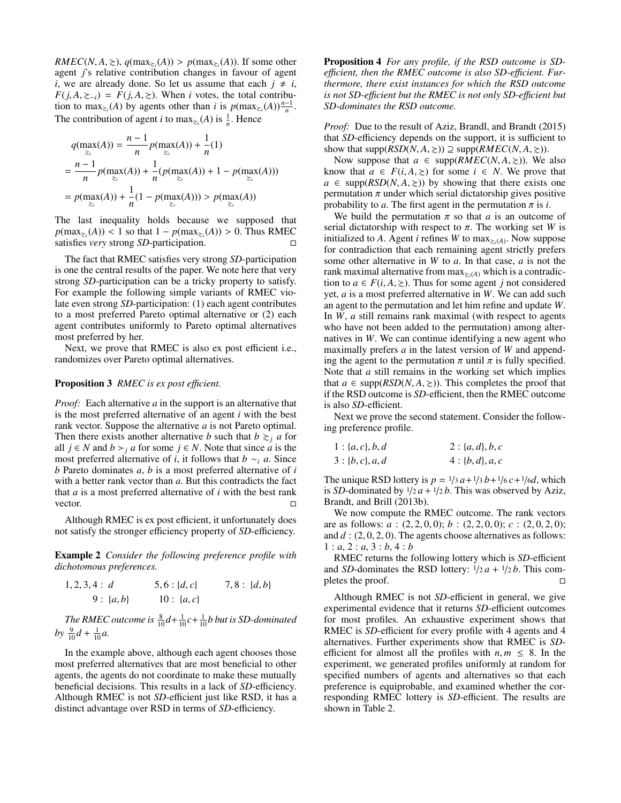$RMEC(N, A, \geq), q(\max_{\geq i}(A)) > p(\max_{\geq i}(A)).$  If some other *i*'s relative contribution changes in favour of agent agent *j*'s relative contribution changes in favour of agent *i*, we are already done. So let us assume that each  $j \neq i$ ,  $F(j, A, \geq -i) = F(j, A, \geq)$ . When *i* votes, the total contribution to  $\max_{\ge_i}(A)$  by agents other than *i* is  $p(\max_{\ge_i}(A))\frac{n-1}{n}$ . The contribution of agent *i* to  $\max_{\geq i}(A)$  is  $\frac{1}{n}$ . Hence

$$
q(\max_{\ge_i}(A)) = \frac{n-1}{n} p(\max_{\ge_i}(A)) + \frac{1}{n}(1)
$$
  
= 
$$
\frac{n-1}{n} p(\max_{\ge_i}(A)) + \frac{1}{n} (p(\max_{\ge_i}(A)) + 1 - p(\max_{\ge_i}(A)))
$$
  
= 
$$
p(\max_{\ge_i}(A)) + \frac{1}{n}(1 - p(\max_{\ge_i}(A))) > p(\max_{\ge_i}(A))
$$

The last inequality holds because we supposed that  $p(\max_{\geq i}(A)) < 1$  so that  $1 - p(\max_{\geq i}(A)) > 0$ . Thus RMEC satisfies *very* strong *SD*-participation satisfies *very* strong *SD*-participation.

The fact that RMEC satisfies very strong *SD*-participation is one the central results of the paper. We note here that very strong *SD*-participation can be a tricky property to satisfy. For example the following simple variants of RMEC violate even strong *SD*-participation: (1) each agent contributes to a most preferred Pareto optimal alternative or (2) each agent contributes uniformly to Pareto optimal alternatives most preferred by her.

Next, we prove that RMEC is also ex post efficient i.e., randomizes over Pareto optimal alternatives.

#### Proposition 3 *RMEC* is expost efficient.

*Proof:* Each alternative *a* in the support is an alternative that is the most preferred alternative of an agent *i* with the best rank vector. Suppose the alternative *a* is not Pareto optimal. Then there exists another alternative *b* such that  $b \geq a$  for all *j* ∈ *N* and *b* > *j a* for some *j* ∈ *N*. Note that since *a* is the most preferred alternative of *i*, it follows that *b* ∼*<sup>i</sup> a*. Since *b* Pareto dominates *a*, *b* is a most preferred alternative of *i* with a better rank vector than *a*. But this contradicts the fact that *a* is a most preferred alternative of *i* with the best rank vector.  $\Box$ 

Although RMEC is ex post efficient, it unfortunately does not satisfy the stronger efficiency property of *SD*-efficiency.

Example 2 *Consider the following preference profile with dichotomous preferences.*

$$
1, 2, 3, 4: d \t\t 5, 6: {d, c} \t\t 7, 8: {d, b} 9: {a, b} \t\t 10: {a, c}
$$

The RMEC outcome is  $\frac{8}{10}d + \frac{1}{10}c + \frac{1}{10}b$  but is SD-dominated  $by \frac{9}{10}d + \frac{1}{10}a.$ 

In the example above, although each agent chooses those most preferred alternatives that are most beneficial to other agents, the agents do not coordinate to make these mutually beneficial decisions. This results in a lack of *SD*-efficiency. Although RMEC is not *SD*-efficient just like RSD, it has a distinct advantage over RSD in terms of *SD*-efficiency.

Proposition 4 *For any profile, if the RSD outcome is SD*efficient, then the RMEC outcome is also SD-efficient. Fur*thermore, there exist instances for which the RSD outcome is not SD-e*ffi*cient but the RMEC is not only SD-e*ffi*cient but SD-dominates the RSD outcome.*

*Proof:* Due to the result of Aziz, Brandl, and Brandt (2015) that *SD*-efficiency depends on the support, it is sufficient to show that  $supp(RSD(N, A, \geq)) \supseteq supp(RMEC(N, A, \geq)).$ 

Now suppose that  $a \in \text{supp}(RMEC(N, A, \geq))$ . We also know that  $a \in F(i, A, \geq)$  for some  $i \in N$ . We prove that  $a \in \text{supp}(RSD(N, A, \geq))$  by showing that there exists one permutation  $\pi$  under which serial dictatorship gives positive probability to *a*. The first agent in the permutation  $\pi$  is *i*.

We build the permutation  $\pi$  so that *a* is an outcome of serial dictatorship with respect to  $\pi$ . The working set *W* is initialized to A. Agent *i* refines W to  $\max_{\xi_i(A)}$ . Now suppose for contradiction that each remaining agent strictly prefers some other alternative in *W* to *a*. In that case, *a* is not the rank maximal alternative from  $\max_{\lambda \in \mathcal{A}}$  which is a contradiction to  $a \in F(i, A, \geq)$ . Thus for some agent *j* not considered yet, *a* is a most preferred alternative in *W*. We can add such an agent to the permutation and let him refine and update *W*. In *W*, *a* still remains rank maximal (with respect to agents who have not been added to the permutation) among alternatives in *W*. We can continue identifying a new agent who maximally prefers *a* in the latest version of *W* and appending the agent to the permutation  $\pi$  until  $\pi$  is fully specified. Note that *a* still remains in the working set which implies that  $a \in \text{supp}(RSD(N, A, \geq))$ . This completes the proof that if the RSD outcome is *SD*-efficient, then the RMEC outcome is also *SD*-efficient.

Next we prove the second statement. Consider the following preference profile.

| $1: \{a, c\}, b, d$ | $2: \{a, d\}, b, c$ |
|---------------------|---------------------|
| $3: \{b, c\}, a, d$ | $4: \{b, d\}, a, c$ |

The unique RSD lottery is  $p = \frac{1}{3} a + \frac{1}{3} b + \frac{1}{6} c + \frac{1}{6} d$ , which is *SD*-dominated by  $\frac{1}{2}a + \frac{1}{2}b$ . This was observed by Aziz, Brandt, and Brill (2013b).

We now compute the RMEC outcome. The rank vectors are as follows: *<sup>a</sup>* : (2, <sup>2</sup>, <sup>0</sup>, 0); *<sup>b</sup>* : (2, <sup>2</sup>, <sup>0</sup>, 0); *<sup>c</sup>* : (2, <sup>0</sup>, <sup>2</sup>, 0); and *<sup>d</sup>* : (2, <sup>0</sup>, <sup>2</sup>, 0). The agents choose alternatives as follows: 1 : *a*, 2 : *a*, 3 : *b*, 4 : *b*

RMEC returns the following lottery which is *SD*-efficient and *SD*-dominates the RSD lottery:  $\frac{1}{2}a + \frac{1}{2}b$ . This com-<br>pletes the proof. pletes the proof.

Although RMEC is not *SD*-efficient in general, we give experimental evidence that it returns *SD*-efficient outcomes for most profiles. An exhaustive experiment shows that RMEC is *SD*-efficient for every profile with 4 agents and 4 alternatives. Further experiments show that RMEC is *SD*efficient for almost all the profiles with  $n, m \leq 8$ . In the experiment, we generated profiles uniformly at random for specified numbers of agents and alternatives so that each preference is equiprobable, and examined whether the corresponding RMEC lottery is *SD*-efficient. The results are shown in Table 2.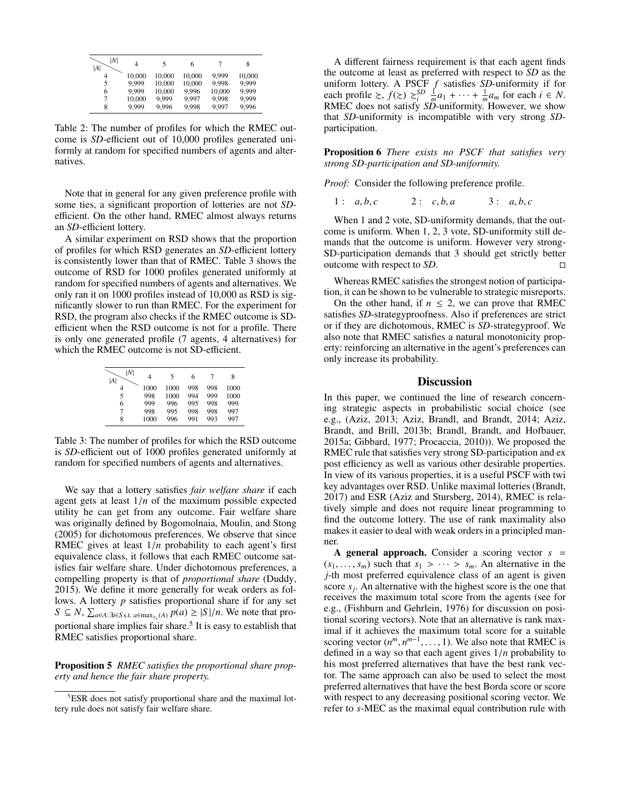| N <br> A | 4      | 5      | 6      |        | 8      |
|----------|--------|--------|--------|--------|--------|
| 4        | 10,000 | 10,000 | 10,000 | 9.999  | 10,000 |
| 5        | 9.999  | 10,000 | 10,000 | 9.998  | 9.999  |
| 6        | 9.999  | 10,000 | 9.996  | 10,000 | 9.999  |
| 7        | 10,000 | 9.999  | 9.997  | 9,998  | 9,999  |
| 8        | 9.999  | 9.996  | 9,998  | 9,997  | 9,996  |

Table 2: The number of profiles for which the RMEC outcome is *SD*-efficient out of 10,000 profiles generated uniformly at random for specified numbers of agents and alternatives.

Note that in general for any given preference profile with some ties, a significant proportion of lotteries are not *SD*efficient. On the other hand, RMEC almost always returns an *SD*-efficient lottery.

A similar experiment on RSD shows that the proportion of profiles for which RSD generates an *SD*-efficient lottery is consistently lower than that of RMEC. Table 3 shows the outcome of RSD for 1000 profiles generated uniformly at random for specified numbers of agents and alternatives. We only ran it on 1000 profiles instead of 10,000 as RSD is significantly slower to run than RMEC. For the experiment for RSD, the program also checks if the RMEC outcome is SDefficient when the RSD outcome is not for a profile. There is only one generated profile (7 agents, 4 alternatives) for which the RMEC outcome is not SD-efficient.

| N <br> A | 4    | 5    | 6   | 7   | 8    |
|----------|------|------|-----|-----|------|
| 4        | 1000 | 1000 | 998 | 998 | 1000 |
| 5        | 998  | 1000 | 994 | 999 | 1000 |
| 6        | 999  | 996  | 995 | 998 | 999  |
| 7        | 998  | 995  | 998 | 998 | 997  |
| 8        | 1000 | 996  | 991 | 993 | 997  |

Table 3: The number of profiles for which the RSD outcome is *SD*-efficient out of 1000 profiles generated uniformly at random for specified numbers of agents and alternatives.

We say that a lottery satisfies *fair welfare share* if each agent gets at least  $1/n$  of the maximum possible expected utility he can get from any outcome. Fair welfare share was originally defined by Bogomolnaia, Moulin, and Stong (2005) for dichotomous preferences. We observe that since RMEC gives at least 1/*<sup>n</sup>* probability to each agent's first equivalence class, it follows that each RMEC outcome satisfies fair welfare share. Under dichotomous preferences, a compelling property is that of *proportional share* (Duddy, 2015). We define it more generally for weak orders as follows. A lottery *p* satisfies proportional share if for any set *S* ⊆ *N*,  $\sum_{a \in A: \exists i \in S}$  s.t.  $a \in \max_{z_i(A)} p(a) \ge |S|/n$ . We note that proportional share implies fair share.<sup>5</sup> It is easy to establish that RMEC satisfies proportional share.

Proposition 5 *RMEC satisfies the proportional share property and hence the fair share property.*

A different fairness requirement is that each agent finds the outcome at least as preferred with respect to *SD* as the uniform lottery. A PSCF *f* satisfies *SD*-uniformity if for each profile  $\geq$ ,  $f(\geq) \geq \frac{SD}{i} \int_{\frac{m}{2}}^{\infty} a_1 + \cdots + \frac{1}{m} a_m$  for each  $i \in N$ . RMEC does not satisfy *SD*-uniformity. However, we show that *SD*-uniformity is incompatible with very strong *SD*participation.

Proposition 6 *There exists no PSCF that satisfies very strong SD-participation and SD-uniformity.*

*Proof:* Consider the following preference profile.

1 :  $a, b, c$  2 :  $c, b, a$  3 :  $a, b, c$ 

When 1 and 2 vote, SD-uniformity demands, that the outcome is uniform. When 1, 2, 3 vote, SD-uniformity still demands that the outcome is uniform. However very strong-SD-participation demands that 3 should get strictly better outcome with respect to *SD*.

Whereas RMEC satisfies the strongest notion of participation, it can be shown to be vulnerable to strategic misreports.

On the other hand, if  $n \leq 2$ , we can prove that RMEC satisfies *SD*-strategyproofness. Also if preferences are strict or if they are dichotomous, RMEC is *SD*-strategyproof. We also note that RMEC satisfies a natural monotonicity property: reinforcing an alternative in the agent's preferences can only increase its probability.

#### **Discussion**

In this paper, we continued the line of research concerning strategic aspects in probabilistic social choice (see e.g., (Aziz, 2013; Aziz, Brandl, and Brandt, 2014; Aziz, Brandt, and Brill, 2013b; Brandl, Brandt, and Hofbauer, 2015a; Gibbard, 1977; Procaccia, 2010)). We proposed the RMEC rule that satisfies very strong SD-participation and ex post efficiency as well as various other desirable properties. In view of its various properties, it is a useful PSCF with twi key advantages over RSD. Unlike maximal lotteries (Brandt, 2017) and ESR (Aziz and Stursberg, 2014), RMEC is relatively simple and does not require linear programming to find the outcome lottery. The use of rank maximality also makes it easier to deal with weak orders in a principled manner.

A general approach. Consider a scoring vector *s* =  $(s_1, \ldots, s_m)$  such that  $s_1 > \cdots > s_m$ . An alternative in the *j*-th most preferred equivalence class of an agent is given score  $s_j$ . An alternative with the highest score is the one that receives the maximum total score from the agents (see for e.g., (Fishburn and Gehrlein, 1976) for discussion on positional scoring vectors). Note that an alternative is rank maximal if it achieves the maximum total score for a suitable scoring vector  $(n^m, n^{m-1}, \ldots, 1)$ . We also note that RMEC is defined in a way so that each agent gives  $1/n$  probability to defined in a way so that each agent gives 1/*<sup>n</sup>* probability to his most preferred alternatives that have the best rank vector. The same approach can also be used to select the most preferred alternatives that have the best Borda score or score with respect to any decreasing positional scoring vector. We refer to *s*-MEC as the maximal equal contribution rule with

<sup>5</sup>ESR does not satisfy proportional share and the maximal lottery rule does not satisfy fair welfare share.